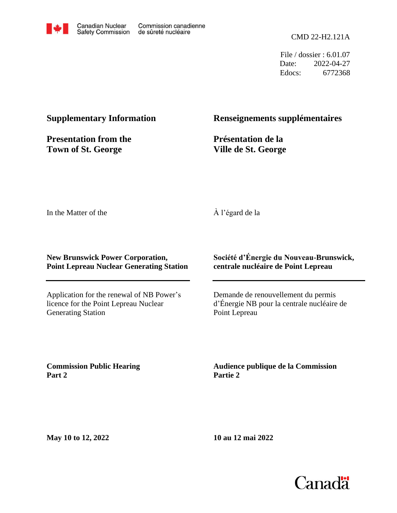

File / dossier : 6.01.07 Date: 2022-04-27 Edocs: 6772368

### **Supplementary Information**

**Presentation from the Town of St. George**

### **Renseignements supplémentaires**

**Présentation de la Ville de St. George**

In the Matter of the

### À l'égard de la

### **New Brunswick Power Corporation, Point Lepreau Nuclear Generating Station**

Application for the renewal of NB Power's licence for the Point Lepreau Nuclear Generating Station

### **Société d'Énergie du Nouveau-Brunswick, centrale nucléaire de Point Lepreau**

Demande de renouvellement du permis d'Énergie NB pour la centrale nucléaire de Point Lepreau

**Commission Public Hearing Part 2**

**Audience publique de la Commission Partie 2**

**May 10 to 12, 2022**

**10 au 12 mai 2022**

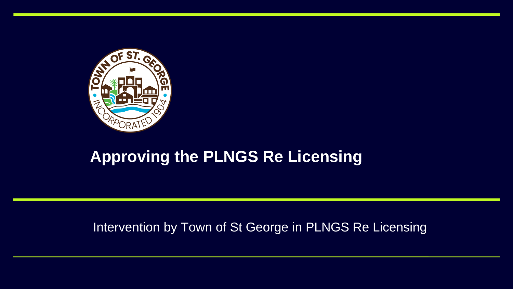

# **Approving the PLNGS Re Licensing**

### Intervention by Town of St George in PLNGS Re Licensing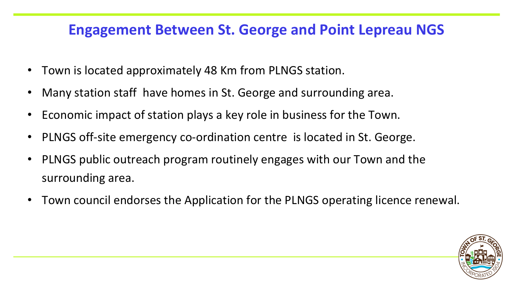## **Engagement Between St. George and Point Lepreau NGS**

- Town is located approximately 48 Km from PLNGS station.
- Many station staff have homes in St. George and surrounding area.
- Economic impact of station plays a key role in business for the Town.
- PLNGS off-site emergency co-ordination centre is located in St. George.
- PLNGS public outreach program routinely engages with our Town and the surrounding area.
- Town council endorses the Application for the PLNGS operating licence renewal.

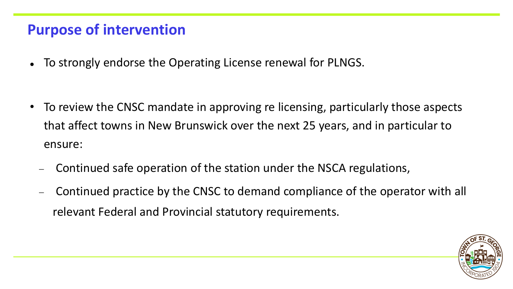### **Purpose of intervention**

⚫ To strongly endorse the Operating License renewal for PLNGS.

- To review the CNSC mandate in approving re licensing, particularly those aspects that affect towns in New Brunswick over the next 25 years, and in particular to ensure:
	- − Continued safe operation of the station under the NSCA regulations,
	- − Continued practice by the CNSC to demand compliance of the operator with all relevant Federal and Provincial statutory requirements.

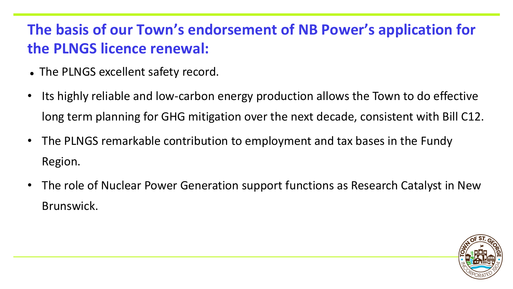# **The basis of our Town's endorsement of NB Power's application for the PLNGS licence renewal:**

- ⚫ The PLNGS excellent safety record.
- Its highly reliable and low-carbon energy production allows the Town to do effective long term planning for GHG mitigation over the next decade, consistent with Bill C12.
- The PLNGS remarkable contribution to employment and tax bases in the Fundy Region.
- The role of Nuclear Power Generation support functions as Research Catalyst in New Brunswick.

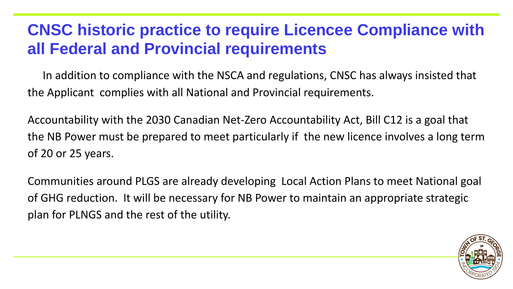# **CNSC historic practice to require Licencee Compliance with all Federal and Provincial requirements**

the Applicant complies with all National and Provincial requirements.

- In addition to compliance with the NSCA and regulations, CNSC has always insisted that
- Accountability with the 2030 Canadian Net-Zero Accountability Act, Bill C12 is a goal that the NB Power must be prepared to meet particularly if the new licence involves a long term

of 20 or 25 years.

Communities around PLGS are already developing Local Action Plans to meet National goal of GHG reduction. It will be necessary for NB Power to maintain an appropriate strategic



plan for PLNGS and the rest of the utility.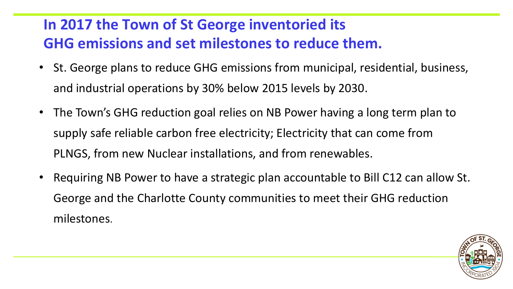# **In 2017 the Town of St George inventoried its GHG emissions and set milestones to reduce them.**

- St. George plans to reduce GHG emissions from municipal, residential, business, and industrial operations by 30% below 2015 levels by 2030.
- The Town's GHG reduction goal relies on NB Power having a long term plan to supply safe reliable carbon free electricity; Electricity that can come from PLNGS, from new Nuclear installations, and from renewables.
- Requiring NB Power to have a strategic plan accountable to Bill C12 can allow St. George and the Charlotte County communities to meet their GHG reduction milestones.

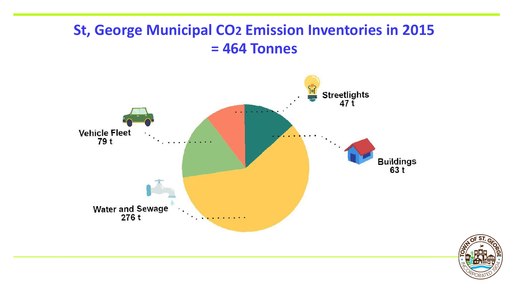## **St, George Municipal CO2 Emission Inventories in 2015 = 464 Tonnes**



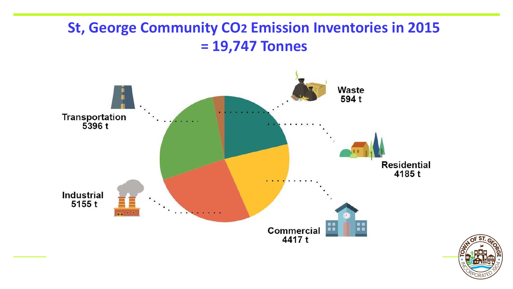### **St, George Community CO2 Emission Inventories in 2015 = 19,747 Tonnes**



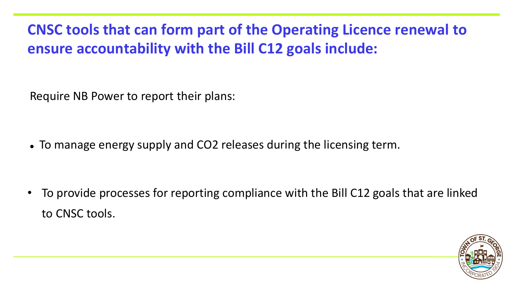# **CNSC tools that can form part of the Operating Licence renewal to ensure accountability with the Bill C12 goals include:**

Require NB Power to report their plans:

• To manage energy supply and CO2 releases during the licensing term.

• To provide processes for reporting compliance with the Bill C12 goals that are linked



to CNSC tools.